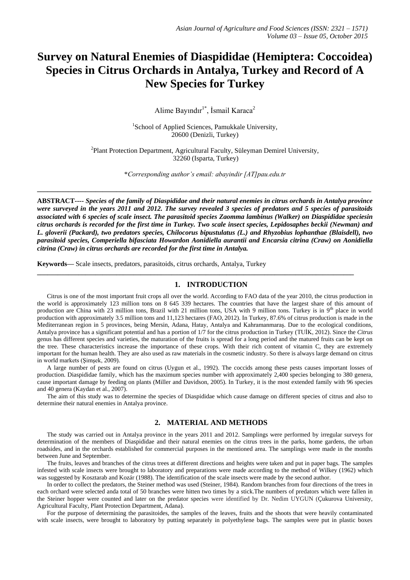# **Survey on Natural Enemies of Diaspididae (Hemiptera: Coccoidea) Species in Citrus Orchards in Antalya, Turkey and Record of A New Species for Turkey**

Alime Bayındır<sup>1\*</sup>, İsmail Karaca<sup>2</sup>

<sup>1</sup>School of Applied Sciences, Pamukkale University, 20600 (Denizli, Turkey)

<sup>2</sup>Plant Protection Department, Agricultural Faculty, Süleyman Demirel University, 32260 (Isparta, Turkey)

\**Corresponding author's email: abayindir [AT]pau.edu.tr*

**\_\_\_\_\_\_\_\_\_\_\_\_\_\_\_\_\_\_\_\_\_\_\_\_\_\_\_\_\_\_\_\_\_\_\_\_\_\_\_\_\_\_\_\_\_\_\_\_\_\_\_\_\_\_\_\_\_\_\_\_\_\_\_\_\_\_\_\_\_\_\_\_\_\_\_\_\_\_\_\_\_\_\_\_\_\_\_\_\_\_\_\_\_\_\_\_\_**

**ABSTRACT----** *Species of the family of Diaspididae and their natural enemies in citrus orchards in Antalya province were surveyed in the years 2011 and 2012. The survey revealed 3 species of predators and 5 species of parasitoids associated with 6 species of scale insect. The parasitoid species Zaomma lambinus (Walker) on Diaspididae speciesin citrus orchards is recorded for the first time in Turkey. Two scale insect species, Lepidosaphes beckii (Newman) and L. gloverii (Packard), two predators species, Chilocorus bipustulatus (L.) and Rhyzobius lophanthae (Blaisdell), two parasitoid species, Comperiella bifasciata Howardon Aonidiella aurantii and Encarsia citrina (Craw) on Aonidiella citrina (Craw) in citrus orchards are recorded for the first time in Antalya.* 

**Keywords—** Scale insects, predators, parasitoids, citrus orchards, Antalya, Turkey

### **1. INTRODUCTION**

**\_\_\_\_\_\_\_\_\_\_\_\_\_\_\_\_\_\_\_\_\_\_\_\_\_\_\_\_\_\_\_\_\_\_\_\_\_\_\_\_\_\_\_\_\_\_\_\_\_\_\_\_\_\_\_\_\_\_\_\_\_\_\_\_\_\_\_\_\_\_\_\_\_\_\_\_\_\_\_\_\_\_\_\_\_\_\_\_\_\_\_\_**

Citrus is one of the most important fruit crops all over the world. According to FAO data of the year 2010, the citrus production in the world is approximately 123 million tons on 8 645 339 hectares. The countries that have the largest share of this amount of production are China with 23 million tons, Brazil with 21 million tons, USA with 9 million tons. Turkey is in 9<sup>th</sup> place in world production with approximately 3.5 million tons and 11,123 hectares (FAO, 2012). In Turkey, 87.6% of citrus production is made in the Mediterranean region in 5 provinces, being Mersin, Adana, Hatay, Antalya and Kahramanmaraş. Due to the ecological conditions, Antalya province has a significant potential and has a portion of 1/7 for the citrus production in Turkey (TUİK, 2012). Since the *Citrus* genus has different species and varieties, the maturation of the fruits is spread for a long period and the matured fruits can be kept on the tree. These characteristics increase the importance of these crops. With their rich content of vitamin C, they are extremely important for the human health. They are also used as raw materials in the cosmetic industry. So there is always large demand on citrus in world markets (Şimşek, 2009).

A large number of pests are found on citrus (Uygun et al., 1992). The coccids among these pests causes important losses of production. Diaspididae family, which has the maximum species number with approximately 2,400 species belonging to 380 genera, cause important damage by feeding on plants (Miller and Davidson, 2005). In Turkey, it is the most extended family with 96 species and 40 genera (Kaydan et al., 2007).

The aim of this study was to determine the species of Diaspididae which cause damage on different species of citrus and also to determine their natural enemies in Antalya province.

## **2. MATERIAL AND METHODS**

The study was carried out in Antalya province in the years 2011 and 2012. Samplings were performed by irregular surveys for determination of the members of Diaspididae and their natural enemies on the citrus trees in the parks, home gardens, the urban roadsides, and in the orchards established for commercial purposes in the mentioned area. The samplings were made in the months between June and September.

The fruits, leaves and branches of the citrus trees at different directions and heights were taken and put in paper bags. The samples infested with scale insects were brought to laboratory and preparations were made according to the method of Wilkey (1962) which was suggested by Kosztarab and Kozár (1988). The identification of the scale insects were made by the second author.

In order to collect the predators, the Steiner method was used (Steiner, 1984). Random branches from four directions of the trees in each orchard were selected anda total of 50 branches were hitten two times by a stick.The numbers of predators which were fallen in the Steiner hopper were counted and later on the predator species were identified by Dr. Nedim UYGUN (Çukurova University, Agricultural Faculty, Plant Protection Department, Adana).

For the purpose of determining the parasitoides, the samples of the leaves, fruits and the shoots that were heavily contaminated with scale insects, were brought to laboratory by putting separately in polyethylene bags. The samples were put in plastic boxes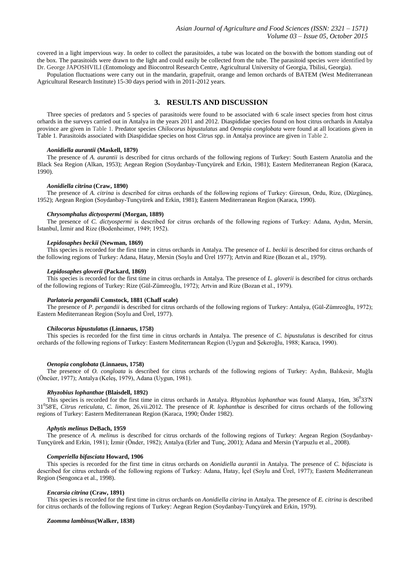covered in a light impervious way. In order to collect the parasitoides, a tube was located on the boxwith the bottom standing out of the box. The parasitoids were drawn to the light and could easily be collected from the tube. The parasitoid species were identified by Dr. George JAPOSHVILI (Entomology and Biocontrol Research Centre, Agricultural University of Georgia, Tbilisi, Georgia).

Population fluctuations were carry out in the mandarin, grapefruit, orange and lemon orchards of BATEM (West Mediterranean Agricultural Research Institute) 15-30 days period with in 2011-2012 years.

# **3. RESULTS AND DISCUSSION**

Three species of predators and 5 species of parasitoids were found to be associated with 6 scale insect species from host citrus orhards in the surveys carried out in Antalya in the years 2011 and 2012. Diaspididae species found on host citrus orchards in Antalya province are given in Table 1. Predator species *Chilocorus bipustulatus* and *Oenopia conglobata* were found at all locations given in Table 1. Parasitoids associated with Diaspididae species on host *Citrus* spp. in Antalya province are given in Table 2.

#### *Aonidiella aurantii* **(Maskell, 1879)**

The presence of *A. aurantii* is described for citrus orchards of the following regions of Turkey: South Eastern Anatolia and the Black Sea Region (Alkan, 1953); Aegean Region (Soydanbay-Tunçyürek and Erkin, 1981); Eastern Mediterranean Region (Karaca, 1990).

#### *Aonidiella citrina* **(Craw, 1890)**

The presence of *A. citrina* is described for citrus orchards of the following regions of Turkey: Giresun, Ordu, Rize, (Düzgüneş, 1952); Aegean Region (Soydanbay-Tunçyürek and Erkin, 1981); Eastern Mediterranean Region (Karaca, 1990).

#### *Chrysomphalus dictyospermi* **(Morgan, 1889)**

The presence of *C. dictyospermi* is described for citrus orchards of the following regions of Turkey: Adana, Aydın, Mersin, İstanbul, İzmir and Rize (Bodenheimer, 1949; 1952).

#### *Lepidosaphes beckii* **(Newman, 1869)**

This species is recorded for the first time in citrus orchards in Antalya. The presence of *L. beckii* is described for citrus orchards of the following regions of Turkey: Adana, Hatay, Mersin (Soylu and Ürel 1977); Artvin and Rize (Bozan et al., 1979).

#### *Lepidosaphes gloverii* **(Packard, 1869)**

This species is recorded for the first time in citrus orchards in Antalya. The presence of *L. gloverii* is described for citrus orchards of the following regions of Turkey: Rize (Gül-Zümreoğlu, 1972); Artvin and Rize (Bozan et al., 1979).

#### *Parlatoria pergandii* **Comstock, 1881 (Chaff scale)**

The presence of *P. pergandii* is described for citrus orchards of the following regions of Turkey: Antalya, (Gül-Zümreoğlu, 1972); Eastern Mediterranean Region (Soylu and Ürel, 1977).

#### *Chilocorus bipustulatus* **(Linnaeus, 1758)**

This species is recorded for the first time in citrus orchards in Antalya. The presence of *C. bipustulatus* is described for citrus orchards of the following regions of Turkey: Eastern Mediterranean Region (Uygun and Şekeroğlu, 1988; Karaca, 1990).

#### *Oenopia conglobata* **(Linnaeus, 1758)**

The presence of *O. congloata* is described for citrus orchards of the following regions of Turkey: Aydın, Balıkesir, Muğla (Öncüer, 1977); Antalya (Keleş, 1979), Adana (Uygun, 1981).

#### *Rhyzobius lophanthae* **(Blaisdell, 1892)**

This species is recorded for the first time in citrus orchards in Antalya. *Rhyzobius lophanthae* was found Alanya, 16m, 36<sup>0</sup>33'N 31<sup>0</sup> 58'E, *Citrus reticulata*, *C. limon*, 26.vii.2012. The presence of *R. lophanthae* is described for citrus orchards of the following regions of Turkey: Eastern Mediterranean Region (Karaca, 1990; Önder 1982).

#### *Aphytis melinus* **DeBach, 1959**

The presence of *A. melinus* is described for citrus orchards of the following regions of Turkey: Aegean Region (Soydanbay-Tunçyürek and Erkin, 1981); İzmir (Önder, 1982); Antalya (Erler and Tunç, 2001); Adana and Mersin (Yarpuzlu et al., 2008).

#### *Comperiella bifasciata* **Howard, 1906**

This species is recorded for the first time in citrus orchards on *Aonidiella aurantii* in Antalya. The presence of *C. bifasciata* is described for citrus orchards of the following regions of Turkey: Adana, Hatay, İçel (Soylu and Ürel, 1977); Eastern Mediterranean Region (Sengonca et al., 1998).

#### *Encarsia citrina* **(Craw, 1891)**

This species is recorded for the first time in citrus orchards on *Aonidiella citrina* in Antalya. The presence of *E. citrina* is described for citrus orchards of the following regions of Turkey: Aegean Region (Soydanbay-Tunçyürek and Erkin, 1979).

#### *Zaomma lambinus***(Walker, 1838)**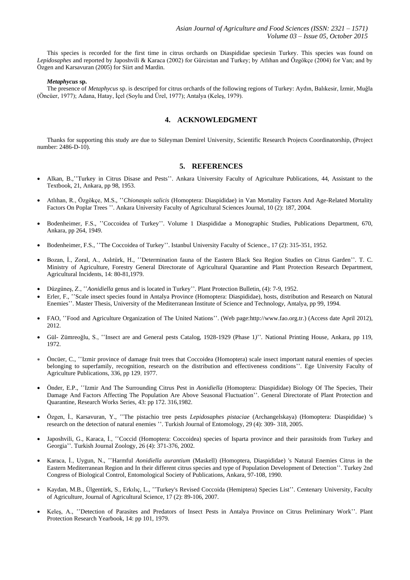This species is recorded for the first time in citrus orchards on Diaspididae speciesin Turkey. This species was found on *Lepidosaphes* and reported by Japoshvili & Karaca (2002) for Gürcistan and Turkey; by Atlıhan and Özgökçe (2004) for Van; and by Özgen and Karsavuran (2005) for Siirt and Mardin.

#### *Metaphycus* **sp.**

The presence of *Metaphycus* sp. is descriped for citrus orchards of the following regions of Turkey: Aydın, Balıkesir, İzmir, Muğla (Öncüer, 1977); Adana, Hatay, İçel (Soylu and Ürel, 1977); Antalya (Keleş, 1979).

# **4. ACKNOWLEDGMENT**

Thanks for supporting this study are due to Süleyman Demirel University, [Scientific Research Projects Coordinatorship,](http://bap.sdu.edu.tr/) (Project number: 2486-D-10).

## **5. REFERENCES**

- Alkan, B., "Turkey in Citrus Disase and Pests". Ankara University Faculty of Agriculture Publications, 44, Assistant to the Textbook, 21, Ankara, pp 98, 1953.
- Atlıhan, R., Özgökçe, M.S., ʽʽ*Chionaspis salicis* (Homoptera: Diaspididae) in Van Mortality Factors And Age-Related Mortality Factors On Poplar Trees ''. Ankara University Faculty of Agricultural Sciences Journal, 10 (2): 187, 2004.
- Bodenheimer, F.S., "Coccoidea of Turkey". Volume 1 Diaspididae a Monographic Studies, Publications Department, 670, Ankara, pp 264, 1949.
- Bodenheimer, F.S., "The Coccoidea of Turkey''. Istanbul University Faculty of Science., 17 (2): 315-351, 1952.
- Bozan, İ., Zoral, A., Aslıtürk, H., "Determination fauna of the Eastern Black Sea Region Studies on Citrus Garden''. T. C. Ministry of Agriculture, Forestry General Directorate of Agricultural Quarantine and Plant Protection Research Department, Agricultural Incidents, 14: 80-81,1979.
- Düzgüneş, Z., "Aonidiella genus and is located in Turkey". Plant Protection Bulletin, (4): 7-9, 1952.
- Erler, F., "Scale insect species found in Antalya Province (Homoptera: Diaspididae), hosts, distribution and Research on Natural Enemies''. Master Thesis, University of the Mediterranean Institute of Science and Technolog*y*, Antalya, pp 99, 1994.
- FAO, "Food and Agriculture Organization of The United Nations". (Web page[:http://www.fao.org.tr.](http://www.fao.org.tr/)) (Access date April 2012), 2012.
- Gül- Zümreoğlu, S., "Insect are and General pests Catalog, 1928-1929 (Phase 1)". National Printing House, Ankara, pp 119, 1972.
- Öncüer, C., ʽʽIzmir province of damage fruit trees that Coccoidea (Homoptera) scale insect important natural enemies of species belonging to superfamily, recognition, research on the distribution and effectiveness conditions''. Ege University Faculty of Agriculture Publications, 336, pp 129, 1977.
- Önder, E.P., "Izmir And The Surrounding Citrus Pest in *Aonidiella* (Homoptera: Diaspididae) Biology Of The Species, Their Damage And Factors Affecting The Population Are Above Seasonal Fluctuation''. General Directorate of Plant Protection and Quarantine, Research Works Series, 43: pp 172. 316,1982.
- Özgen, İ., Karsavuran, Y., "The pistachio tree pests *Lepidosaphes pistaciae* (Archangelskaya) (Homoptera: Diaspididae) 's research on the detection of natural enemies ''. Turkish Journal of Entomology, 29 (4): 309- 318, 2005.
- Japoshvili, G., Karaca, İ., "Coccid (Homoptera: Coccoidea) species of Isparta province and their parasitoids from Turkey and Georgia''. Turkish Journal Zoology, 26 (4): 371-376, 2002.
- Karaca, İ., Uygun, N., "Harmful *Aonidiella aurantium* (Maskell) (Homoptera, Diaspididae) 's Natural Enemies Citrus in the Eastern Mediterranean Region and In their different citrus species and type of Population Development of Detection''. Turkey 2nd Congress of Biological Control, Entomological Society of Publications, Ankara, 97-108, 1990.
- Kaydan, M.B., Ülgentürk, S., Erkılıç, L., "Turkey's Revised Coccoida (Hemiptera) Species List". Centenary University, Faculty of Agriculture, Journal of Agricultural Science, 17 (2): 89-106, 2007.
- Keleş, A., "Detection of Parasites and Predators of Insect Pests in Antalya Province on Citrus Preliminary Work". Plant Protection Research Yearbook, 14: pp 101, 1979.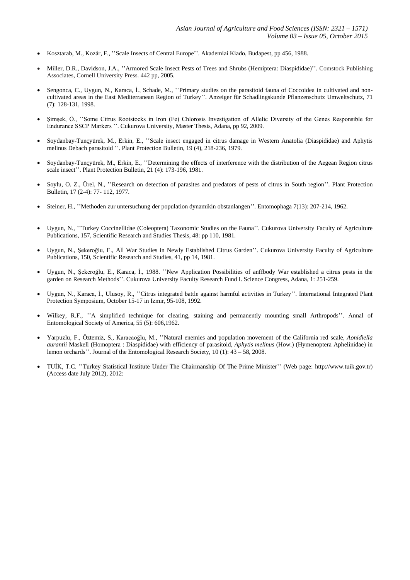- Kosztarab, M., Kozár, F., "Scale Insects of Central Europe". Akademiai Kiado, Budapest, pp 456, 1988.
- Miller, D.R., Davidson, J.A., "Armored Scale Insect Pests of Trees and Shrubs (Hemiptera: Diaspididae)". Comstock Publishing Associates, Cornell University Press. 442 pp, 2005.
- Sengonca, C., Uygun, N., Karaca, İ., Schade, M., "Primary studies on the parasitoid fauna of Coccoidea in cultivated and noncultivated areas in the East Mediterranean Region of Turkey''. Anzeiger für Schadlingskunde Pflanzenschutz Umweltschutz, 71 (7): 128-131, 1998.
- Simsek, Ö., "Some Citrus Rootstocks in Iron (Fe) Chlorosis Investigation of Allelic Diversity of the Genes Responsible for Endurance SSCP Markers ''. Cukurova University, Master Thesis, Adana, pp 92, 2009.
- Soydanbay-Tuncyürek, M., Erkin, E., "Scale insect engaged in citrus damage in Western Anatolia (Diaspididae) and Aphytis melinus Debach parasitoid ''. Plant Protection Bulletin, 19 (4), 218-236, 1979.
- Soydanbay-Tunçyürek, M., Erkin, E., "Determining the effects of interference with the distribution of the Aegean Region citrus scale insect''. Plant Protection Bulletin, 21 (4): 173-196, 1981.
- Soylu, O. Z., Ürel, N., "Research on detection of parasites and predators of pests of citrus in South region". Plant Protection Bulletin, 17 (2-4): 77- 112, 1977.
- Steiner, H., "Methoden zur untersuchung der population dynamikin obstanlangen". Entomophaga 7(13): 207-214, 1962.
- Uygun, N., "Turkey Coccinellidae (Coleoptera) Taxonomic Studies on the Fauna". Cukurova University Faculty of Agriculture Publications, 157, Scientific Research and Studies Thesis, 48: pp 110, 1981.
- Uygun, N., Şekeroğlu, E., All War Studies in Newly Established Citrus Garden''. Cukurova University Faculty of Agriculture Publications, 150, Scientific Research and Studies, 41, pp 14, 1981.
- Uygun, N., Şekeroğlu, E., Karaca, İ., 1988. "New Application Possibilities of anffbody War established a citrus pests in the garden on Research Methods''. Cukurova University Faculty Research Fund I. Science Congress, Adana, 1: 251-259.
- Uygun, N., Karaca, İ., Ulusoy, R., "Citrus integrated battle against harmful activities in Turkey". International Integrated Plant Protection Symposium, October 15-17 in Izmir, 95-108, 1992.
- Wilkey, R.F., "A simplified technique for clearing, staining and permanently mounting small Arthropods". Annal of Entomological Society of America, 55 (5): 606,1962.
- [Yarpuzlu, F.,](http://sdu.summon.serialssolutions.com/tu-TU/search?s.dym=false&s.q=Author%3A%22Yarpuzlu%2C+F%22) Öztemiz, S., Karacaoğlu, M., "Natural enemies and population movement of the California red scale, *Aonidiella aurantii* [Maskell \(Homoptera : Diaspididae\) with efficiency of parasitoid,](http://sdu.summon.serialssolutions.com/link/0/eLvHCXMwxV3NTsJAEN7ogcQD_j7AnIgkBig_liqQkIDBA8QoB_Wg2XZ3wwrtElogPoNv4UOYePBpTHwOZ7aFiw_gaZPpZvq3nd2dft83jIFX94KGJJCfUjWcw2XF95yq8nHur9cqAfGGB3fu6L7Z65NEzgaxtFwlpeWMT30dEqKylCzIVLaqgVYqIljji_IKq4QL3R6Pu7eFoG3_bWKbldLYGHhk2k0SdnlWriAJFFlXVeFyB79m5csGbwRuUznCFbts99y1NR-uH7bJGVoVOCk4v0YI3SrR8nPZxf2dorwNbPrq4J_v5pDtZwtZ6KYj74jtyOiY5R6NTdOfsO8Rt4oegLE0xN048EjAfFstDEJjhcoTMApwDQrBliMGCymgNenEaJKt8qRzBl0MPEITTgs4Oo0SrWHI4yla4HRgQjMnHvUF9DSP59hTcFkEyjCDtAoZRC-lE5HOeYwhTAv0ieMr0TGERMhfxuRnXSpi80r66ZlD7ESHU4c6gpnEBwZmkXLV8l8v-af3_rDy9vlxuXfj__wCJkjVEg) *Aphytis melinus* (How.) (Hymenoptera Aphelinidae) in [lemon orchards'](http://sdu.summon.serialssolutions.com/link/0/eLvHCXMwxV3NTsJAEN7ogcQD_j7AnIgkBig_liqQkIDBA8QoB_Wg2XZ3wwrtElogPoNv4UOYePBpTHwOZ7aFiw_gaZPpZvq3nd2dft83jIFX94KGJJCfUjWcw2XF95yq8nHur9cqAfGGB3fu6L7Z65NEzgaxtFwlpeWMT30dEqKylCzIVLaqgVYqIljji_IKq4QL3R6Pu7eFoG3_bWKbldLYGHhk2k0SdnlWriAJFFlXVeFyB79m5csGbwRuUznCFbts99y1NR-uH7bJGVoVOCk4v0YI3SrR8nPZxf2dorwNbPrq4J_v5pDtZwtZ6KYj74jtyOiY5R6NTdOfsO8Rt4oegLE0xN048EjAfFstDEJjhcoTMApwDQrBliMGCymgNenEaJKt8qRzBl0MPEITTgs4Oo0SrWHI4yla4HRgQjMnHvUF9DSP59hTcFkEyjCDtAoZRC-lE5HOeYwhTAv0ieMr0TGERMhfxuRnXSpi80r66ZlD7ESHU4c6gpnEBwZmkXLV8l8v-af3_rDy9vlxuXfj__wCJkjVEg)'. Journal of the Entomological Research Society, 10 (1): 43 – 58, 2008.
- TUİK, T.C. ʽʽTurkey Statistical Institute Under The Chairmanship Of The Prime Minister'' (Web page: [http://www.tuik.gov.tr\)](http://www.tuik.gov.tr/) (Access date July 2012), 2012: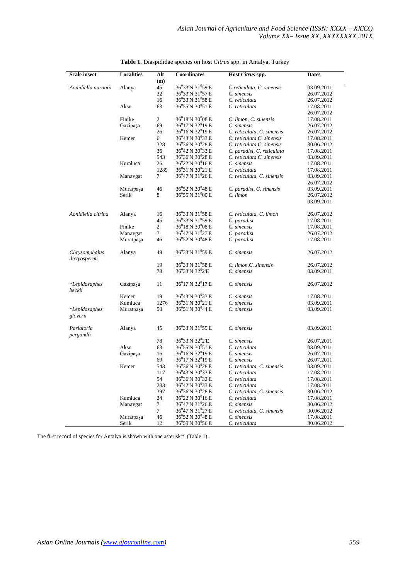| <b>Scale insect</b>            | <b>Localities</b> | Alt            | <b>Coordinates</b>                        | Host Citrus spp.                     | <b>Dates</b> |
|--------------------------------|-------------------|----------------|-------------------------------------------|--------------------------------------|--------------|
|                                |                   | (m)            |                                           |                                      |              |
| Aonidiella aurantii            | Alanya            | 45             | 36°33'N 31°59'E                           | C.reticulata, C. sinensis            | 03.09.2011   |
|                                |                   | 32             | $36^0$ 33'N 31 $^0$ 57'E                  | C. sinensis                          | 26.07.2012   |
|                                |                   | 16             | 36°33′N 31°58′E                           | C. reticulata                        |              |
|                                |                   |                |                                           |                                      | 26.07.2012   |
|                                | Aksu              | 63             | $36^0$ 55'N $30^0$ 51'E                   | C. reticulata                        | 17.08.2011   |
|                                | Finike            | $\overline{c}$ | $36^018'N30^008'E$                        |                                      | 26.07.2012   |
|                                |                   |                | $36^0$ 17'N 32 $^0$ 19'E                  | C. limon, C. sinensis<br>C. sinensis | 17.08.2011   |
|                                | Gazipaşa          | 69             |                                           |                                      | 26.07.2012   |
|                                |                   | 26             | 36°16'N 32°19'E                           | C. reticulata, C. sinensis           | 26.07.2012   |
|                                | Kemer             | 6              | 36°43'N 30°33'E                           | C. reticulata C. sinensis            | 17.08.2011   |
|                                |                   | 328            | $36^0$ 36'N 30 $^0$ 28'E                  | C. reticulata C. sinensis            | 30.06.2012   |
|                                |                   | 36             | $36^042'$ N $30^033'$ E                   | C. paradisi, C. reticulata           | 17.08.2011   |
|                                |                   | 543            | $36^0$ 36'N 30 $^0$ 28'E                  | C. reticulata C. sinensis            | 03.09.2011   |
|                                | Kumluca           | 26             | $36^0$ 22'N $30^0$ 16'E                   | C. sinensis                          | 17.08.2011   |
|                                |                   | 1289           | 36 <sup>0</sup> 31'N 30 <sup>0</sup> 21'E | C. reticulata                        | 17.08.2011   |
|                                | Manavgat          | 7              | $36^047'N31^026'E$                        | C. reticulata, C. sinensis           | 03.09.2011   |
|                                |                   |                |                                           |                                      | 26.07.2012   |
|                                | Muratpaşa         | 46             | $36^0$ 52'N 30 <sup>0</sup> 48'E          | C. paradisi, C. sinensis             | 03.09.2011   |
|                                | Serik             | 8              | 36 <sup>0</sup> 55'N 31 <sup>0</sup> 00'E | $C.$ limon                           | 26.07.2012   |
|                                |                   |                |                                           |                                      | 03.09.2011   |
| Aonidiella citrina             | Alanya            | 16             | 36°33'N 31°58'E                           | C. reticulata, C. limon              | 26.07.2012   |
|                                |                   | 45             | 36°33'N 31°59'E                           | C. paradisi                          | 17.08.2011   |
|                                | Finike            | $\overline{c}$ | $36^018'N$ $30^008'E$                     | C. sinensis                          | 17.08.2011   |
|                                | Manavgat          | $\overline{7}$ | 36°47'N 31°27'E                           | C. paradisi                          | 26.07.2012   |
|                                |                   | 46             | 36°52'N 30°48'E                           |                                      |              |
|                                | Muratpaşa         |                |                                           | C. paradisi                          | 17.08.2011   |
| Chrysomphalus<br>dictyospermi  | Alanya            | 49             | 36°33'N 31°59'E                           | C. sinensis                          | 26.07.2012   |
|                                |                   | 19             | 36 <sup>0</sup> 33'N 31 <sup>0</sup> 58'E | C. limon, C. sinensis                | 26.07.2012   |
|                                |                   | 78             | 36 <sup>0</sup> 33'N 32 <sup>0</sup> 2'E  | C. sinensis                          | 03.09.2011   |
| <i>*Lepidosaphes</i><br>beckii | Gazipaşa          | 11             | 36 <sup>0</sup> 17'N 32 <sup>0</sup> 17'E | C. sinensis                          | 26.07.2012   |
|                                | Kemer             | 19             | 36 <sup>0</sup> 43'N 30 <sup>0</sup> 33'E | C. sinensis                          | 17.08.2011   |
|                                | Kumluca           | 1276           | $36^031'N30^021'E$                        | C. sinensis                          | 03.09.2011   |
| <i>*Lepidosaphes</i>           | Muratpaşa         | 50             | $36^051'$ N 30 <sup>0</sup> 44'E          | C. sinensis                          | 03.09.2011   |
| gloverii                       |                   |                |                                           |                                      |              |
|                                |                   | 45             | 36°33'N 31°59'E                           | C. sinensis                          |              |
| Parlatoria<br>pergandii        | Alanya            |                |                                           |                                      | 03.09.2011   |
|                                |                   | 78             | 36 <sup>0</sup> 33'N 32 <sup>0</sup> 2'E  | C. sinensis                          | 26.07.2011   |
|                                | Aksu              | 63             | $36^0$ 55'N $30^0$ 51'E                   | C. reticulata                        | 03.09.2011   |
|                                | Gazipaşa          | 16             | $36^016'$ N 32 $^019'$ E                  | C. sinensis                          | 26.07.2011   |
|                                |                   | 69             | $36^0$ 17'N 32 $^0$ 19'E                  | C. sinensis                          | 26.07.2011   |
|                                | Kemer             | 543            | 36°36'N 30°28'E                           | C. reticulata, C. sinensis           | 03.09.2011   |
|                                |                   | 117            | 36 <sup>0</sup> 43'N 30 <sup>0</sup> 33'E | C. reticulata                        | 17.08.2011   |
|                                |                   | 54             | 36°36′N 30°32′E                           | C. reticulata                        | 17.08.2011   |
|                                |                   | 283            | $36^042'N$ $30^033'E$                     | C. reticulata                        | 17.08.2011   |
|                                |                   | 397            | $36^036'$ N $30^028'$ E                   | C. reticulata, C. sinensis           | 30.06.2012   |
|                                | Kumluca           | 24             | $36^0$ 22'N 30 $^0$ 16'E                  | C. reticulata                        | 17.08.2011   |
|                                | Manavgat          | $\tau$         | $36^047'$ N 31 <sup>0</sup> 26'E          | C. sinensis                          | 30.06.2012   |
|                                |                   | $\overline{7}$ | $36^047'N31^027'E$                        | C. reticulata, C. sinensis           | 30.06.2012   |
|                                | Muratpaşa         | 46             | 36°52'N 30°48'E                           | C. sinensis                          | 17.08.2011   |
|                                | Serik             | 12             | $36^0$ 59'N $30^0$ 56'E                   | C. reticulata                        | 30.06.2012   |
|                                |                   |                |                                           |                                      |              |

**Table 1.** Diaspididae species on host *Citrus* spp. in Antalya, Turkey

The first record of species for Antalya is shown with one asterisk'\*' (Table 1).